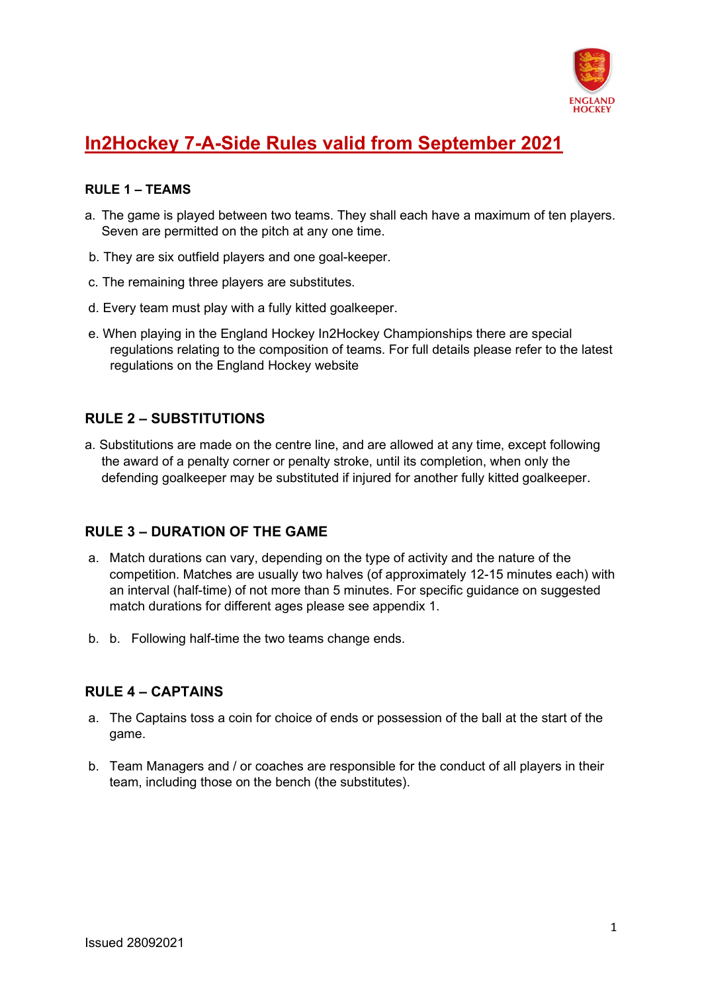

# **In2Hockey 7-A-Side Rules valid from September 2021**

#### **RULE 1 – TEAMS**

- a. The game is played between two teams. They shall each have a maximum of ten players. Seven are permitted on the pitch at any one time.
- b. They are six outfield players and one goal-keeper.
- c. The remaining three players are substitutes.
- d. Every team must play with a fully kitted goalkeeper.
- e. When playing in the England Hockey In2Hockey Championships there are special regulations relating to the composition of teams. For full details please refer to the latest regulations on the England Hockey website

# **RULE 2 – SUBSTITUTIONS**

a. Substitutions are made on the centre line, and are allowed at any time, except following the award of a penalty corner or penalty stroke, until its completion, when only the defending goalkeeper may be substituted if injured for another fully kitted goalkeeper.

# **RULE 3 – DURATION OF THE GAME**

- a. Match durations can vary, depending on the type of activity and the nature of the competition. Matches are usually two halves (of approximately 12-15 minutes each) with an interval (half-time) of not more than 5 minutes. For specific guidance on suggested match durations for different ages please see appendix 1.
- b. b. Following half-time the two teams change ends.

# **RULE 4 – CAPTAINS**

- a. The Captains toss a coin for choice of ends or possession of the ball at the start of the game.
- b. Team Managers and / or coaches are responsible for the conduct of all players in their team, including those on the bench (the substitutes).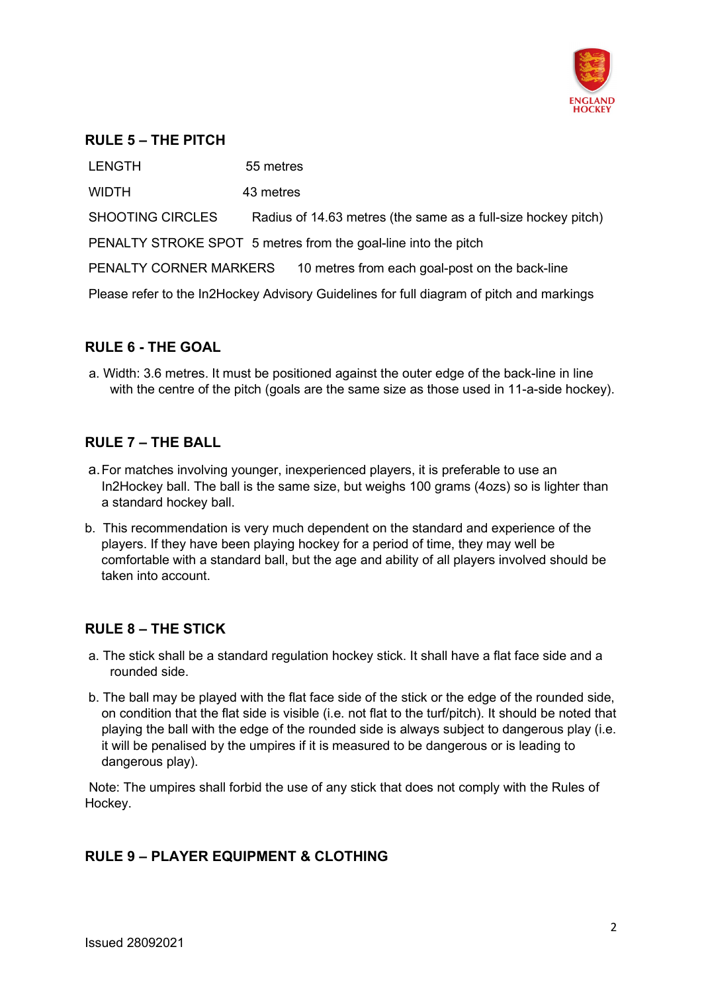

#### **RULE 5 – THE PITCH**

LENGTH 55 metres WIDTH 43 metres SHOOTING CIRCLES Radius of 14.63 metres (the same as a full-size hockey pitch) PENALTY STROKE SPOT 5 metres from the goal-line into the pitch PENALTY CORNER MARKERS 10 metres from each goal-post on the back-line Please refer to the In2Hockey Advisory Guidelines for full diagram of pitch and markings

## **RULE 6 - THE GOAL**

a. Width: 3.6 metres. It must be positioned against the outer edge of the back-line in line with the centre of the pitch (goals are the same size as those used in 11-a-side hockey).

## **RULE 7 – THE BALL**

- a.For matches involving younger, inexperienced players, it is preferable to use an In2Hockey ball. The ball is the same size, but weighs 100 grams (4ozs) so is lighter than a standard hockey ball.
- b. This recommendation is very much dependent on the standard and experience of the players. If they have been playing hockey for a period of time, they may well be comfortable with a standard ball, but the age and ability of all players involved should be taken into account.

## **RULE 8 – THE STICK**

- a. The stick shall be a standard regulation hockey stick. It shall have a flat face side and a rounded side.
- b. The ball may be played with the flat face side of the stick or the edge of the rounded side, on condition that the flat side is visible (i.e. not flat to the turf/pitch). It should be noted that playing the ball with the edge of the rounded side is always subject to dangerous play (i.e. it will be penalised by the umpires if it is measured to be dangerous or is leading to dangerous play).

Note: The umpires shall forbid the use of any stick that does not comply with the Rules of Hockey.

# **RULE 9 – PLAYER EQUIPMENT & CLOTHING**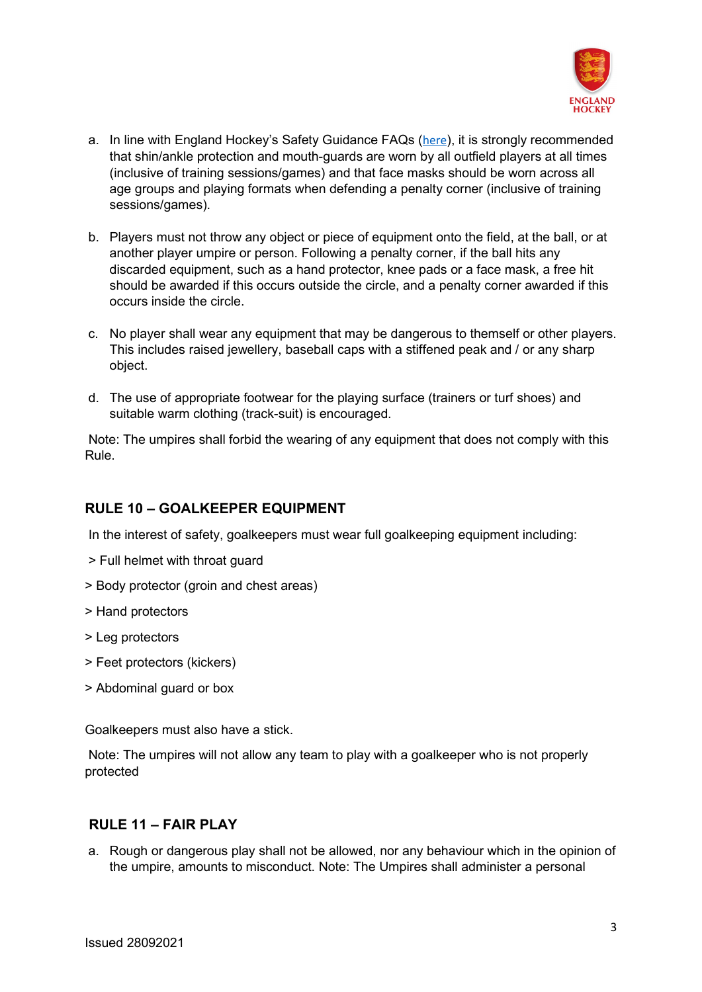

- a. In line with England Hockey's Safety Guidance FAQs ([here](https://www.englandhockey.co.uk/governance/duty-of-care-in-hockey/safe-hockey)), it is strongly recommended that shin/ankle protection and mouth-guards are worn by all outfield players at all times (inclusive of training sessions/games) and that face masks should be worn across all age groups and playing formats when defending a penalty corner (inclusive of training sessions/games).
- b. Players must not throw any object or piece of equipment onto the field, at the ball, or at another player umpire or person. Following a penalty corner, if the ball hits any discarded equipment, such as a hand protector, knee pads or a face mask, a free hit should be awarded if this occurs outside the circle, and a penalty corner awarded if this occurs inside the circle.
- c. No player shall wear any equipment that may be dangerous to themself or other players. This includes raised jewellery, baseball caps with a stiffened peak and / or any sharp object.
- d. The use of appropriate footwear for the playing surface (trainers or turf shoes) and suitable warm clothing (track-suit) is encouraged.

Note: The umpires shall forbid the wearing of any equipment that does not comply with this Rule.

# **RULE 10 – GOALKEEPER EQUIPMENT**

In the interest of safety, goalkeepers must wear full goalkeeping equipment including:

- > Full helmet with throat guard
- > Body protector (groin and chest areas)
- > Hand protectors
- > Leg protectors
- > Feet protectors (kickers)
- > Abdominal guard or box

Goalkeepers must also have a stick.

Note: The umpires will not allow any team to play with a goalkeeper who is not properly protected

#### **RULE 11 – FAIR PLAY**

a. Rough or dangerous play shall not be allowed, nor any behaviour which in the opinion of the umpire, amounts to misconduct. Note: The Umpires shall administer a personal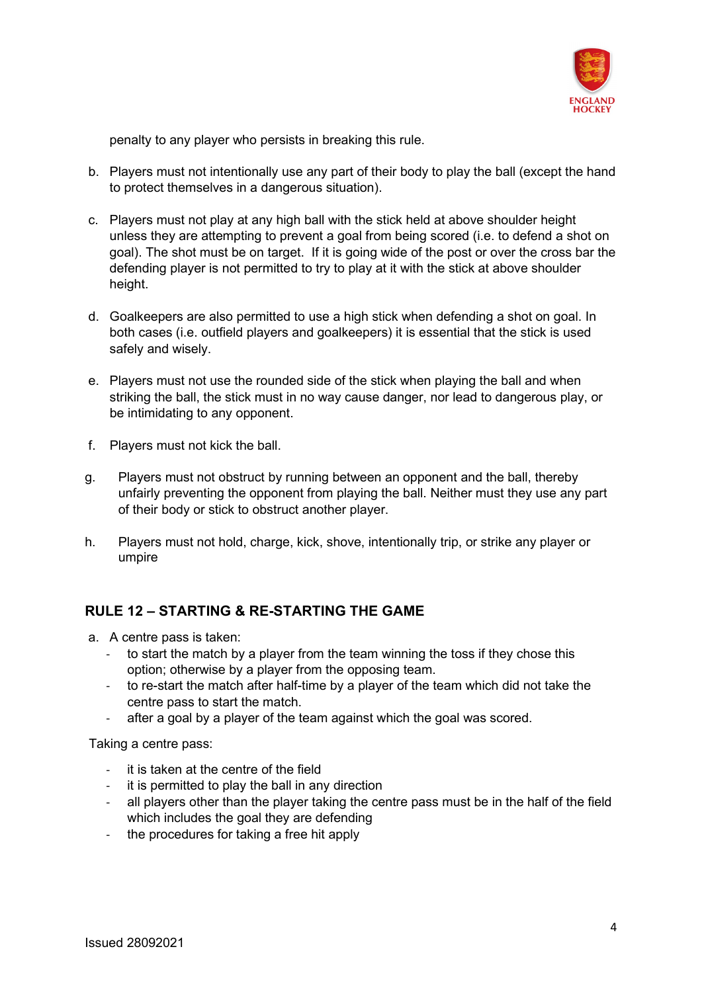

penalty to any player who persists in breaking this rule.

- b. Players must not intentionally use any part of their body to play the ball (except the hand to protect themselves in a dangerous situation).
- c. Players must not play at any high ball with the stick held at above shoulder height unless they are attempting to prevent a goal from being scored (i.e. to defend a shot on goal). The shot must be on target. If it is going wide of the post or over the cross bar the defending player is not permitted to try to play at it with the stick at above shoulder height.
- d. Goalkeepers are also permitted to use a high stick when defending a shot on goal. In both cases (i.e. outfield players and goalkeepers) it is essential that the stick is used safely and wisely.
- e. Players must not use the rounded side of the stick when playing the ball and when striking the ball, the stick must in no way cause danger, nor lead to dangerous play, or be intimidating to any opponent.
- f. Players must not kick the ball.
- g. Players must not obstruct by running between an opponent and the ball, thereby unfairly preventing the opponent from playing the ball. Neither must they use any part of their body or stick to obstruct another player.
- h. Players must not hold, charge, kick, shove, intentionally trip, or strike any player or umpire

# **RULE 12 – STARTING & RE-STARTING THE GAME**

- a. A centre pass is taken:
	- to start the match by a player from the team winning the toss if they chose this option; otherwise by a player from the opposing team.
	- to re-start the match after half-time by a player of the team which did not take the centre pass to start the match.
	- after a goal by a player of the team against which the goal was scored.

Taking a centre pass:

- it is taken at the centre of the field
- it is permitted to play the ball in any direction
- all players other than the player taking the centre pass must be in the half of the field which includes the goal they are defending
- the procedures for taking a free hit apply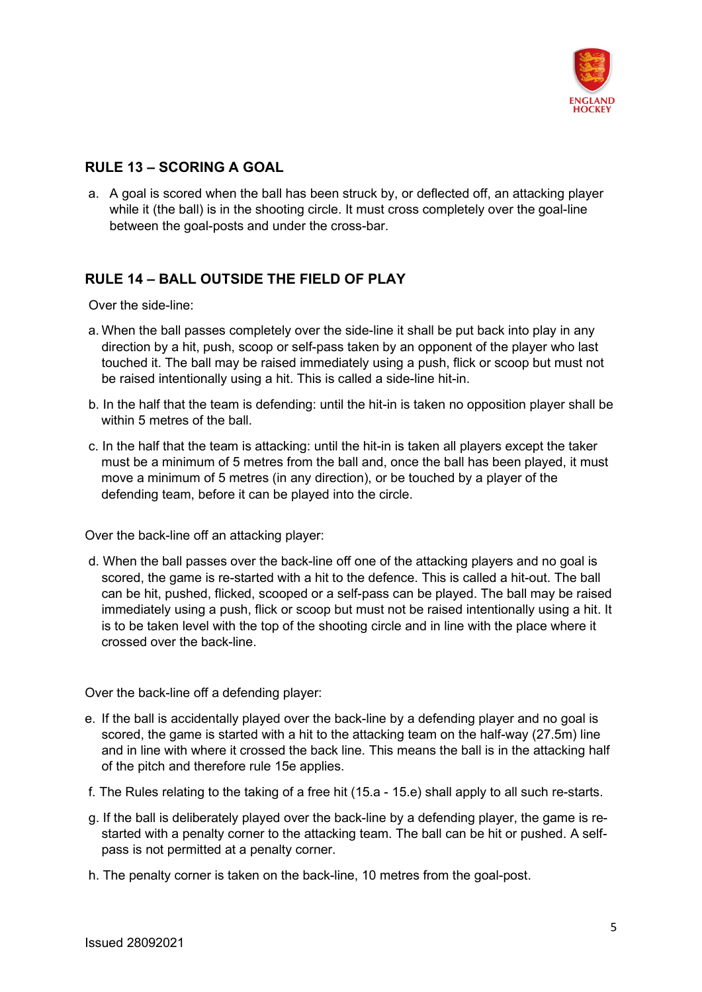

# **RULE 13 – SCORING A GOAL**

a. A goal is scored when the ball has been struck by, or deflected off, an attacking player while it (the ball) is in the shooting circle. It must cross completely over the goal-line between the goal-posts and under the cross-bar.

# **RULE 14 – BALL OUTSIDE THE FIELD OF PLAY**

Over the side-line:

- a. When the ball passes completely over the side-line it shall be put back into play in any direction by a hit, push, scoop or self-pass taken by an opponent of the player who last touched it. The ball may be raised immediately using a push, flick or scoop but must not be raised intentionally using a hit. This is called a side-line hit-in.
- b. In the half that the team is defending: until the hit-in is taken no opposition player shall be within 5 metres of the ball.
- c. In the half that the team is attacking: until the hit-in is taken all players except the taker must be a minimum of 5 metres from the ball and, once the ball has been played, it must move a minimum of 5 metres (in any direction), or be touched by a player of the defending team, before it can be played into the circle.

Over the back-line off an attacking player:

d. When the ball passes over the back-line off one of the attacking players and no goal is scored, the game is re-started with a hit to the defence. This is called a hit-out. The ball can be hit, pushed, flicked, scooped or a self-pass can be played. The ball may be raised immediately using a push, flick or scoop but must not be raised intentionally using a hit. It is to be taken level with the top of the shooting circle and in line with the place where it crossed over the back-line.

Over the back-line off a defending player:

- e. If the ball is accidentally played over the back-line by a defending player and no goal is scored, the game is started with a hit to the attacking team on the half-way (27.5m) line and in line with where it crossed the back line. This means the ball is in the attacking half of the pitch and therefore rule 15e applies.
- f. The Rules relating to the taking of a free hit (15.a 15.e) shall apply to all such re-starts.
- g. If the ball is deliberately played over the back-line by a defending player, the game is restarted with a penalty corner to the attacking team. The ball can be hit or pushed. A selfpass is not permitted at a penalty corner.
- h. The penalty corner is taken on the back-line, 10 metres from the goal-post.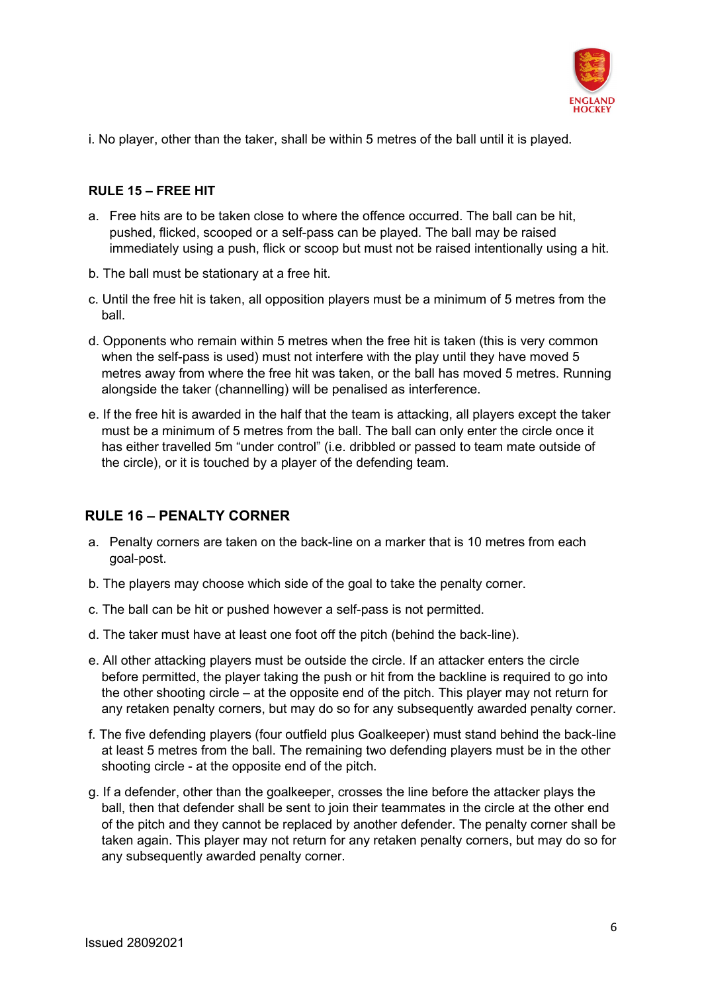

i. No player, other than the taker, shall be within 5 metres of the ball until it is played.

#### **RULE 15 – FREE HIT**

- a. Free hits are to be taken close to where the offence occurred. The ball can be hit, pushed, flicked, scooped or a self-pass can be played. The ball may be raised immediately using a push, flick or scoop but must not be raised intentionally using a hit.
- b. The ball must be stationary at a free hit.
- c. Until the free hit is taken, all opposition players must be a minimum of 5 metres from the ball.
- d. Opponents who remain within 5 metres when the free hit is taken (this is very common when the self-pass is used) must not interfere with the play until they have moved 5 metres away from where the free hit was taken, or the ball has moved 5 metres. Running alongside the taker (channelling) will be penalised as interference.
- e. If the free hit is awarded in the half that the team is attacking, all players except the taker must be a minimum of 5 metres from the ball. The ball can only enter the circle once it has either travelled 5m "under control" (i.e. dribbled or passed to team mate outside of the circle), or it is touched by a player of the defending team.

## **RULE 16 – PENALTY CORNER**

- a. Penalty corners are taken on the back-line on a marker that is 10 metres from each goal-post.
- b. The players may choose which side of the goal to take the penalty corner.
- c. The ball can be hit or pushed however a self-pass is not permitted.
- d. The taker must have at least one foot off the pitch (behind the back-line).
- e. All other attacking players must be outside the circle. If an attacker enters the circle before permitted, the player taking the push or hit from the backline is required to go into the other shooting circle – at the opposite end of the pitch. This player may not return for any retaken penalty corners, but may do so for any subsequently awarded penalty corner.
- f. The five defending players (four outfield plus Goalkeeper) must stand behind the back-line at least 5 metres from the ball. The remaining two defending players must be in the other shooting circle - at the opposite end of the pitch.
- g. If a defender, other than the goalkeeper, crosses the line before the attacker plays the ball, then that defender shall be sent to join their teammates in the circle at the other end of the pitch and they cannot be replaced by another defender. The penalty corner shall be taken again. This player may not return for any retaken penalty corners, but may do so for any subsequently awarded penalty corner.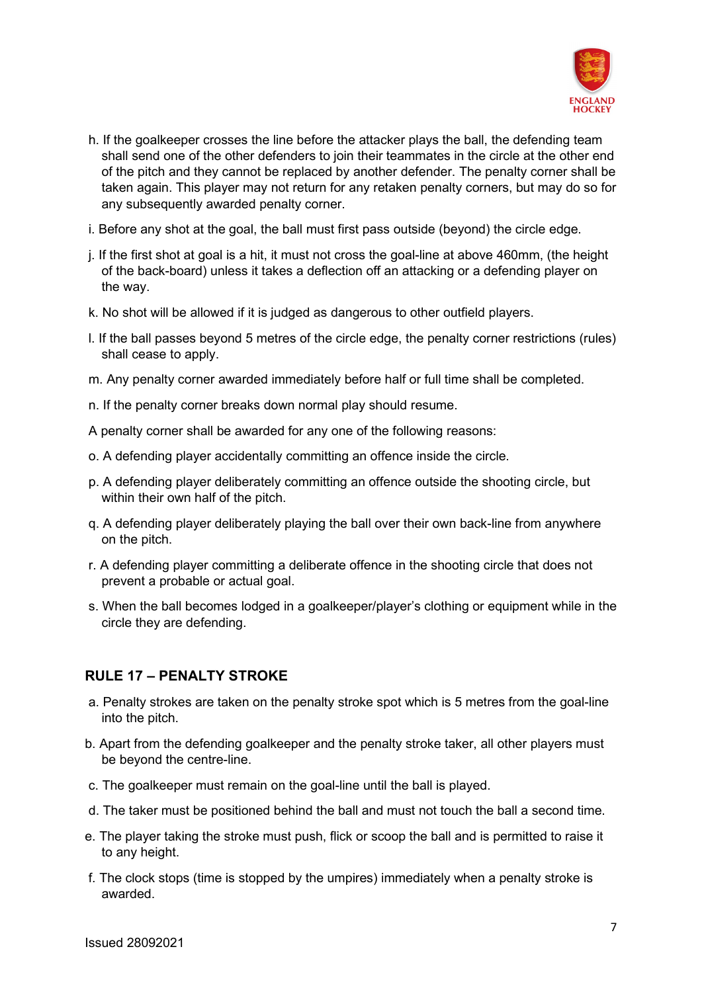

- h. If the goalkeeper crosses the line before the attacker plays the ball, the defending team shall send one of the other defenders to join their teammates in the circle at the other end of the pitch and they cannot be replaced by another defender. The penalty corner shall be taken again. This player may not return for any retaken penalty corners, but may do so for any subsequently awarded penalty corner.
- i. Before any shot at the goal, the ball must first pass outside (beyond) the circle edge.
- j. If the first shot at goal is a hit, it must not cross the goal-line at above 460mm, (the height of the back-board) unless it takes a deflection off an attacking or a defending player on the way.
- k. No shot will be allowed if it is judged as dangerous to other outfield players.
- l. If the ball passes beyond 5 metres of the circle edge, the penalty corner restrictions (rules) shall cease to apply.
- m. Any penalty corner awarded immediately before half or full time shall be completed.
- n. If the penalty corner breaks down normal play should resume.
- A penalty corner shall be awarded for any one of the following reasons:
- o. A defending player accidentally committing an offence inside the circle.
- p. A defending player deliberately committing an offence outside the shooting circle, but within their own half of the pitch.
- q. A defending player deliberately playing the ball over their own back-line from anywhere on the pitch.
- r. A defending player committing a deliberate offence in the shooting circle that does not prevent a probable or actual goal.
- s. When the ball becomes lodged in a goalkeeper/player's clothing or equipment while in the circle they are defending.

## **RULE 17 – PENALTY STROKE**

- a. Penalty strokes are taken on the penalty stroke spot which is 5 metres from the goal-line into the pitch.
- b. Apart from the defending goalkeeper and the penalty stroke taker, all other players must be beyond the centre-line.
- c. The goalkeeper must remain on the goal-line until the ball is played.
- d. The taker must be positioned behind the ball and must not touch the ball a second time.
- e. The player taking the stroke must push, flick or scoop the ball and is permitted to raise it to any height.
- f. The clock stops (time is stopped by the umpires) immediately when a penalty stroke is awarded.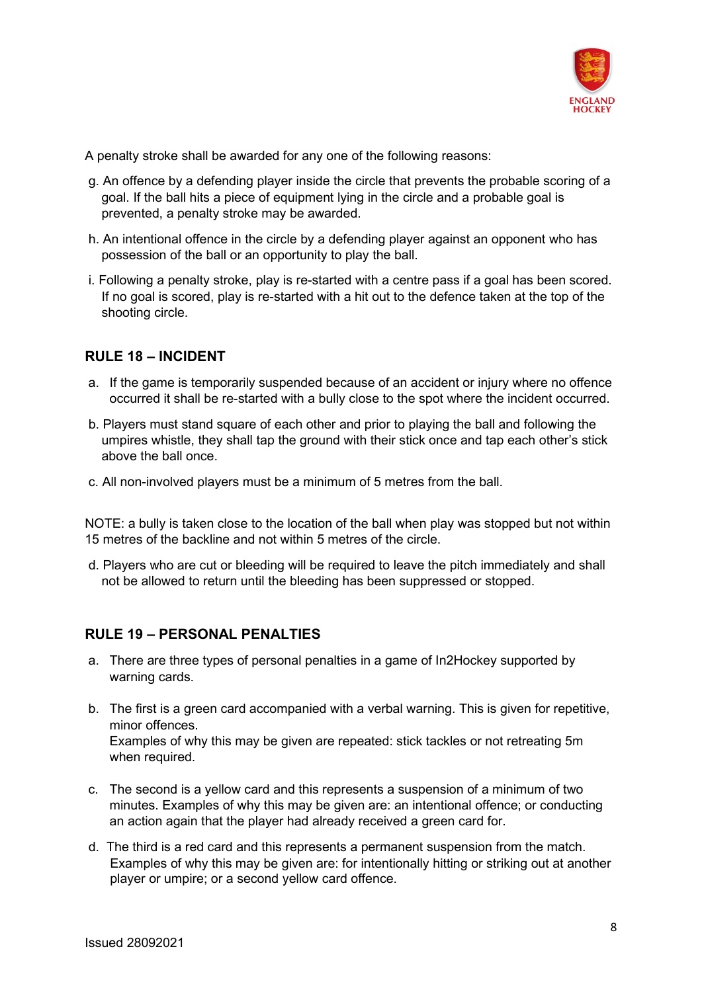

A penalty stroke shall be awarded for any one of the following reasons:

- g. An offence by a defending player inside the circle that prevents the probable scoring of a goal. If the ball hits a piece of equipment lying in the circle and a probable goal is prevented, a penalty stroke may be awarded.
- h. An intentional offence in the circle by a defending player against an opponent who has possession of the ball or an opportunity to play the ball.
- i. Following a penalty stroke, play is re-started with a centre pass if a goal has been scored. If no goal is scored, play is re-started with a hit out to the defence taken at the top of the shooting circle.

## **RULE 18 – INCIDENT**

- a. If the game is temporarily suspended because of an accident or injury where no offence occurred it shall be re-started with a bully close to the spot where the incident occurred.
- b. Players must stand square of each other and prior to playing the ball and following the umpires whistle, they shall tap the ground with their stick once and tap each other's stick above the ball once.
- c. All non-involved players must be a minimum of 5 metres from the ball.

NOTE: a bully is taken close to the location of the ball when play was stopped but not within 15 metres of the backline and not within 5 metres of the circle.

d. Players who are cut or bleeding will be required to leave the pitch immediately and shall not be allowed to return until the bleeding has been suppressed or stopped.

## **RULE 19 – PERSONAL PENALTIES**

- a. There are three types of personal penalties in a game of In2Hockey supported by warning cards.
- b. The first is a green card accompanied with a verbal warning. This is given for repetitive, minor offences. Examples of why this may be given are repeated: stick tackles or not retreating 5m when required.
- c. The second is a yellow card and this represents a suspension of a minimum of two minutes. Examples of why this may be given are: an intentional offence; or conducting an action again that the player had already received a green card for.
- d. The third is a red card and this represents a permanent suspension from the match. Examples of why this may be given are: for intentionally hitting or striking out at another player or umpire; or a second yellow card offence.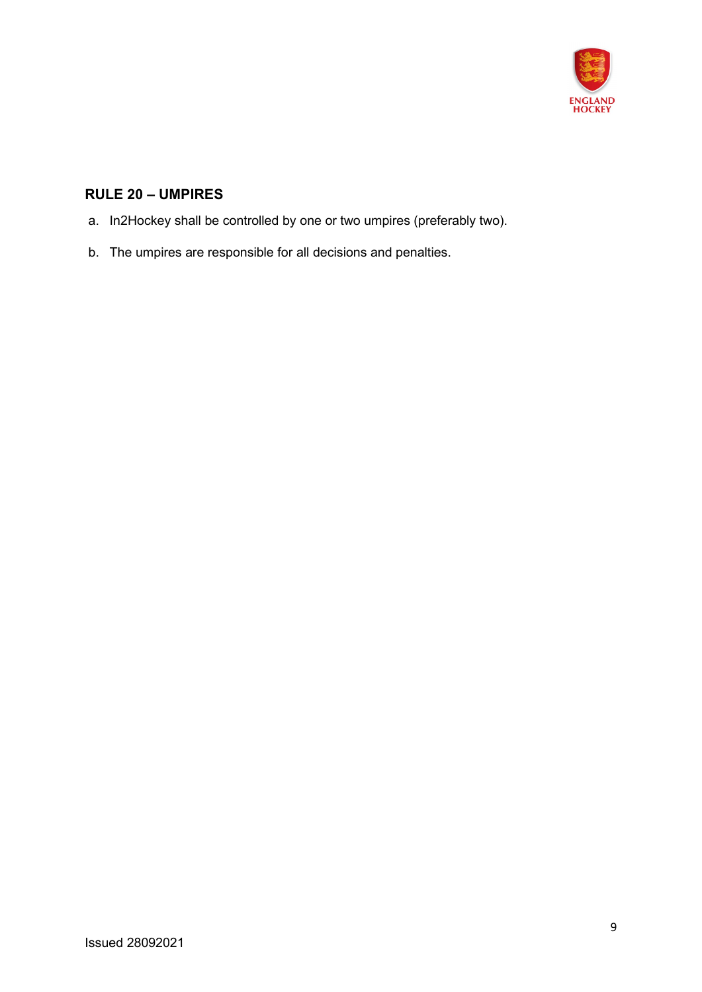

# **RULE 20 – UMPIRES**

- a. In2Hockey shall be controlled by one or two umpires (preferably two).
- b. The umpires are responsible for all decisions and penalties.